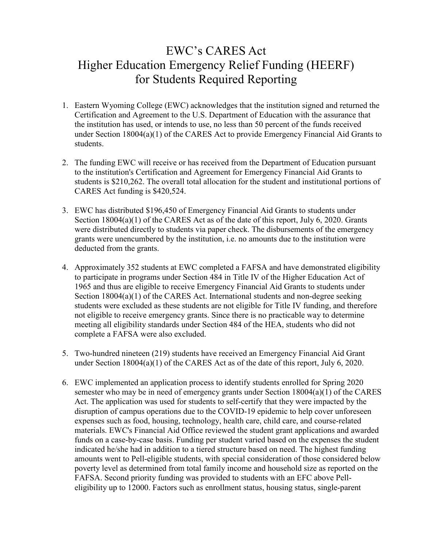## EWC's CARES Act Higher Education Emergency Relief Funding (HEERF) for Students Required Reporting

- 1. Eastern Wyoming College (EWC) acknowledges that the institution signed and returned the Certification and Agreement to the U.S. Department of Education with the assurance that the institution has used, or intends to use, no less than 50 percent of the funds received under Section 18004(a)(1) of the CARES Act to provide Emergency Financial Aid Grants to students.
- 2. The funding EWC will receive or has received from the Department of Education pursuant to the institution's Certification and Agreement for Emergency Financial Aid Grants to students is \$210,262. The overall total allocation for the student and institutional portions of CARES Act funding is \$420,524.
- 3. EWC has distributed \$196,450 of Emergency Financial Aid Grants to students under Section 18004(a)(1) of the CARES Act as of the date of this report, July 6, 2020. Grants were distributed directly to students via paper check. The disbursements of the emergency grants were unencumbered by the institution, i.e. no amounts due to the institution were deducted from the grants.
- 4. Approximately 352 students at EWC completed a FAFSA and have demonstrated eligibility to participate in programs under Section 484 in Title IV of the Higher Education Act of 1965 and thus are eligible to receive Emergency Financial Aid Grants to students under Section 18004(a)(1) of the CARES Act. International students and non-degree seeking students were excluded as these students are not eligible for Title IV funding, and therefore not eligible to receive emergency grants. Since there is no practicable way to determine meeting all eligibility standards under Section 484 of the HEA, students who did not complete a FAFSA were also excluded.
- 5. Two-hundred nineteen (219) students have received an Emergency Financial Aid Grant under Section 18004(a)(1) of the CARES Act as of the date of this report, July 6, 2020.
- 6. EWC implemented an application process to identify students enrolled for Spring 2020 semester who may be in need of emergency grants under Section 18004(a)(1) of the CARES Act. The application was used for students to self-certify that they were impacted by the disruption of campus operations due to the COVID-19 epidemic to help cover unforeseen expenses such as food, housing, technology, health care, child care, and course-related materials. EWC's Financial Aid Office reviewed the student grant applications and awarded funds on a case-by-case basis. Funding per student varied based on the expenses the student indicated he/she had in addition to a tiered structure based on need. The highest funding amounts went to Pell-eligible students, with special consideration of those considered below poverty level as determined from total family income and household size as reported on the FAFSA. Second priority funding was provided to students with an EFC above Pelleligibility up to 12000. Factors such as enrollment status, housing status, single-parent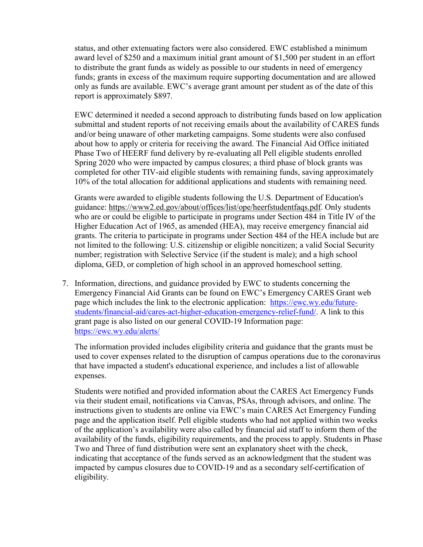status, and other extenuating factors were also considered. EWC established a minimum award level of \$250 and a maximum initial grant amount of \$1,500 per student in an effort to distribute the grant funds as widely as possible to our students in need of emergency funds; grants in excess of the maximum require supporting documentation and are allowed only as funds are available. EWC's average grant amount per student as of the date of this report is approximately \$897.

EWC determined it needed a second approach to distributing funds based on low application submittal and student reports of not receiving emails about the availability of CARES funds and/or being unaware of other marketing campaigns. Some students were also confused about how to apply or criteria for receiving the award. The Financial Aid Office initiated Phase Two of HEERF fund delivery by re-evaluating all Pell eligible students enrolled Spring 2020 who were impacted by campus closures; a third phase of block grants was completed for other TIV-aid eligible students with remaining funds, saving approximately 10% of the total allocation for additional applications and students with remaining need.

Grants were awarded to eligible students following the U.S. Department of Education's guidance: [https://www2.ed.gov/about/offices/list/ope/heerfstudentfaqs.pdf.](https://www2.ed.gov/about/offices/list/ope/heerfstudentfaqs.pdf) Only students who are or could be eligible to participate in programs under Section 484 in Title IV of the Higher Education Act of 1965, as amended (HEA), may receive emergency financial aid grants. The criteria to participate in programs under Section 484 of the HEA include but are not limited to the following: U.S. citizenship or eligible noncitizen; a valid Social Security number; registration with Selective Service (if the student is male); and a high school diploma, GED, or completion of high school in an approved homeschool setting.

7. Information, directions, and guidance provided by EWC to students concerning the Emergency Financial Aid Grants can be found on EWC's Emergency CARES Grant web page which includes the link to the electronic application: [https://ewc.wy.edu/future](https://ewc.wy.edu/future-students/financial-aid/cares-act-higher-education-emergency-relief-fund/)[students/financial-aid/cares-act-higher-education-emergency-relief-fund/.](https://ewc.wy.edu/future-students/financial-aid/cares-act-higher-education-emergency-relief-fund/) A link to this grant page is also listed on our general COVID-19 Information page: <https://ewc.wy.edu/alerts/>

The information provided includes eligibility criteria and guidance that the grants must be used to cover expenses related to the disruption of campus operations due to the coronavirus that have impacted a student's educational experience, and includes a list of allowable expenses.

Students were notified and provided information about the CARES Act Emergency Funds via their student email, notifications via Canvas, PSAs, through advisors, and online. The instructions given to students are online via EWC's main CARES Act Emergency Funding page and the application itself. Pell eligible students who had not applied within two weeks of the application's availability were also called by financial aid staff to inform them of the availability of the funds, eligibility requirements, and the process to apply. Students in Phase Two and Three of fund distribution were sent an explanatory sheet with the check, indicating that acceptance of the funds served as an acknowledgment that the student was impacted by campus closures due to COVID-19 and as a secondary self-certification of eligibility.